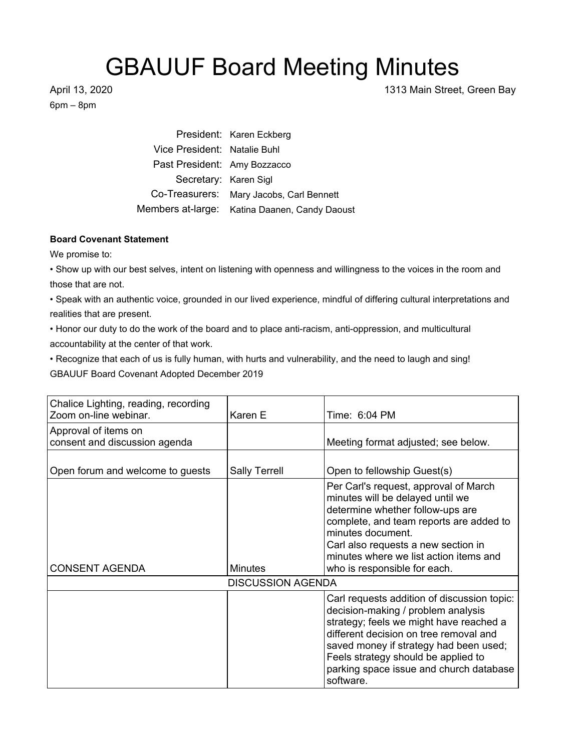## GBAUUF Board Meeting Minutes

6pm – 8pm

April 13, 2020 1313 Main Street, Green Bay

President: Karen Eckberg Vice President: Natalie Buhl Past President: Amy Bozzacco Secretary: Karen Sigl Co-Treasurers: Mary Jacobs, Carl Bennett Members at-large: Katina Daanen, Candy Daoust

## **Board Covenant Statement**

We promise to:

• Show up with our best selves, intent on listening with openness and willingness to the voices in the room and those that are not.

• Speak with an authentic voice, grounded in our lived experience, mindful of differing cultural interpretations and realities that are present.

• Honor our duty to do the work of the board and to place anti-racism, anti-oppression, and multicultural accountability at the center of that work.

• Recognize that each of us is fully human, with hurts and vulnerability, and the need to laugh and sing! GBAUUF Board Covenant Adopted December 2019

| Chalice Lighting, reading, recording<br>Zoom on-line webinar. | Karen E                  | Time: 6:04 PM                                                                                                                                                                                                                                                                                                   |
|---------------------------------------------------------------|--------------------------|-----------------------------------------------------------------------------------------------------------------------------------------------------------------------------------------------------------------------------------------------------------------------------------------------------------------|
| Approval of items on<br>consent and discussion agenda         |                          | Meeting format adjusted; see below.                                                                                                                                                                                                                                                                             |
| Open forum and welcome to guests                              | <b>Sally Terrell</b>     | Open to fellowship Guest(s)                                                                                                                                                                                                                                                                                     |
| <b>CONSENT AGENDA</b>                                         | <b>Minutes</b>           | Per Carl's request, approval of March<br>minutes will be delayed until we<br>determine whether follow-ups are<br>complete, and team reports are added to<br>minutes document.<br>Carl also requests a new section in<br>minutes where we list action items and<br>who is responsible for each.                  |
|                                                               | <b>DISCUSSION AGENDA</b> |                                                                                                                                                                                                                                                                                                                 |
|                                                               |                          | Carl requests addition of discussion topic:<br>decision-making / problem analysis<br>strategy; feels we might have reached a<br>different decision on tree removal and<br>saved money if strategy had been used;<br>Feels strategy should be applied to<br>parking space issue and church database<br>software. |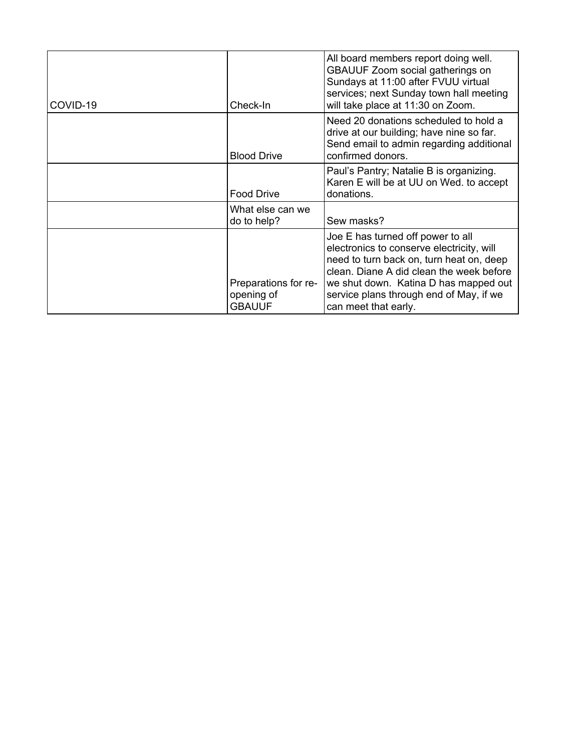| COVID-19 | Check-In                                            | All board members report doing well.<br><b>GBAUUF Zoom social gatherings on</b><br>Sundays at 11:00 after FVUU virtual<br>services; next Sunday town hall meeting<br>will take place at 11:30 on Zoom.                                                                             |
|----------|-----------------------------------------------------|------------------------------------------------------------------------------------------------------------------------------------------------------------------------------------------------------------------------------------------------------------------------------------|
|          | <b>Blood Drive</b>                                  | Need 20 donations scheduled to hold a<br>drive at our building; have nine so far.<br>Send email to admin regarding additional<br>confirmed donors.                                                                                                                                 |
|          | <b>Food Drive</b>                                   | Paul's Pantry; Natalie B is organizing.<br>Karen E will be at UU on Wed. to accept<br>donations.                                                                                                                                                                                   |
|          | What else can we<br>do to help?                     | Sew masks?                                                                                                                                                                                                                                                                         |
|          | Preparations for re-<br>opening of<br><b>GBAUUF</b> | Joe E has turned off power to all<br>electronics to conserve electricity, will<br>need to turn back on, turn heat on, deep<br>clean. Diane A did clean the week before<br>we shut down. Katina D has mapped out<br>service plans through end of May, if we<br>can meet that early. |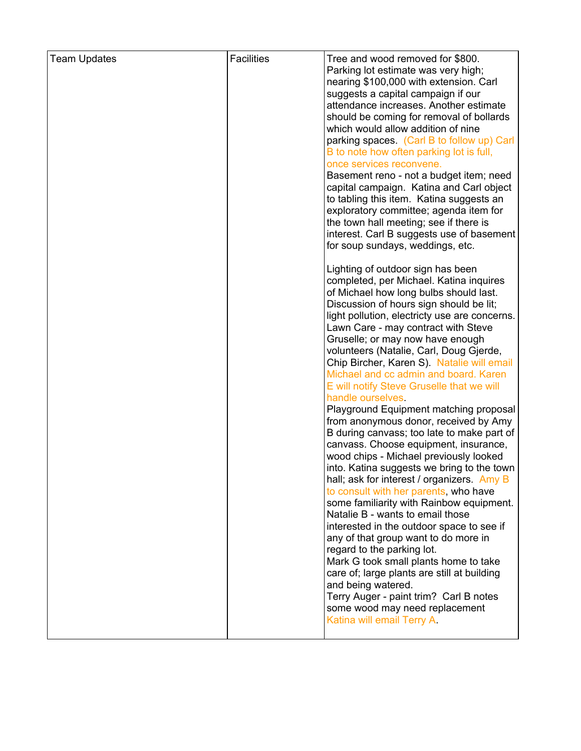| <b>Team Updates</b> | <b>Facilities</b> | Tree and wood removed for \$800.<br>Parking lot estimate was very high;                  |
|---------------------|-------------------|------------------------------------------------------------------------------------------|
|                     |                   | nearing \$100,000 with extension. Carl                                                   |
|                     |                   | suggests a capital campaign if our                                                       |
|                     |                   | attendance increases. Another estimate                                                   |
|                     |                   | should be coming for removal of bollards                                                 |
|                     |                   | which would allow addition of nine                                                       |
|                     |                   | parking spaces. (Carl B to follow up) Carl                                               |
|                     |                   | B to note how often parking lot is full,                                                 |
|                     |                   | once services reconvene.                                                                 |
|                     |                   | Basement reno - not a budget item; need                                                  |
|                     |                   | capital campaign. Katina and Carl object<br>to tabling this item. Katina suggests an     |
|                     |                   | exploratory committee; agenda item for                                                   |
|                     |                   | the town hall meeting; see if there is                                                   |
|                     |                   | interest. Carl B suggests use of basement                                                |
|                     |                   | for soup sundays, weddings, etc.                                                         |
|                     |                   | Lighting of outdoor sign has been                                                        |
|                     |                   | completed, per Michael. Katina inquires                                                  |
|                     |                   | of Michael how long bulbs should last.                                                   |
|                     |                   | Discussion of hours sign should be lit;<br>light pollution, electricty use are concerns. |
|                     |                   | Lawn Care - may contract with Steve                                                      |
|                     |                   | Gruselle; or may now have enough                                                         |
|                     |                   | volunteers (Natalie, Carl, Doug Gjerde,                                                  |
|                     |                   | Chip Bircher, Karen S). Natalie will email                                               |
|                     |                   | Michael and cc admin and board. Karen                                                    |
|                     |                   | E will notify Steve Gruselle that we will                                                |
|                     |                   | handle ourselves.                                                                        |
|                     |                   | Playground Equipment matching proposal<br>from anonymous donor, received by Amy          |
|                     |                   | B during canvass; too late to make part of                                               |
|                     |                   | canvass. Choose equipment, insurance,                                                    |
|                     |                   | wood chips - Michael previously looked                                                   |
|                     |                   | into. Katina suggests we bring to the town                                               |
|                     |                   | hall; ask for interest / organizers. Amy B                                               |
|                     |                   | to consult with her parents, who have                                                    |
|                     |                   | some familiarity with Rainbow equipment.                                                 |
|                     |                   | Natalie B - wants to email those<br>interested in the outdoor space to see if            |
|                     |                   | any of that group want to do more in                                                     |
|                     |                   | regard to the parking lot.                                                               |
|                     |                   | Mark G took small plants home to take                                                    |
|                     |                   | care of; large plants are still at building                                              |
|                     |                   | and being watered.                                                                       |
|                     |                   | Terry Auger - paint trim? Carl B notes                                                   |
|                     |                   | some wood may need replacement                                                           |
|                     |                   | Katina will email Terry A.                                                               |
|                     |                   |                                                                                          |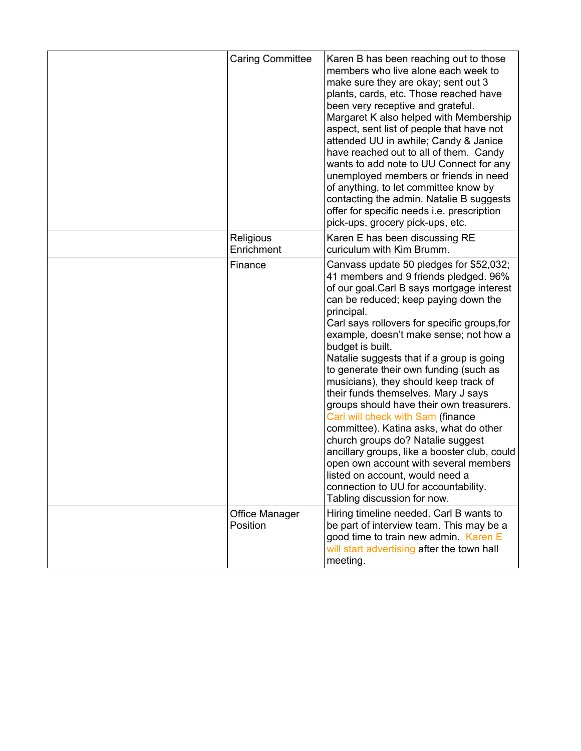| <b>Caring Committee</b>    | Karen B has been reaching out to those<br>members who live alone each week to<br>make sure they are okay; sent out 3<br>plants, cards, etc. Those reached have<br>been very receptive and grateful.<br>Margaret K also helped with Membership<br>aspect, sent list of people that have not<br>attended UU in awhile; Candy & Janice<br>have reached out to all of them. Candy<br>wants to add note to UU Connect for any<br>unemployed members or friends in need<br>of anything, to let committee know by<br>contacting the admin. Natalie B suggests<br>offer for specific needs i.e. prescription<br>pick-ups, grocery pick-ups, etc.                                                                                                                                                                                                     |
|----------------------------|----------------------------------------------------------------------------------------------------------------------------------------------------------------------------------------------------------------------------------------------------------------------------------------------------------------------------------------------------------------------------------------------------------------------------------------------------------------------------------------------------------------------------------------------------------------------------------------------------------------------------------------------------------------------------------------------------------------------------------------------------------------------------------------------------------------------------------------------|
| Religious<br>Enrichment    | Karen E has been discussing RE<br>curiculum with Kim Brumm.                                                                                                                                                                                                                                                                                                                                                                                                                                                                                                                                                                                                                                                                                                                                                                                  |
| Finance                    | Canvass update 50 pledges for \$52,032;<br>41 members and 9 friends pledged. 96%<br>of our goal. Carl B says mortgage interest<br>can be reduced; keep paying down the<br>principal.<br>Carl says rollovers for specific groups, for<br>example, doesn't make sense; not how a<br>budget is built.<br>Natalie suggests that if a group is going<br>to generate their own funding (such as<br>musicians), they should keep track of<br>their funds themselves. Mary J says<br>groups should have their own treasurers.<br>Carl will check with Sam (finance<br>committee). Katina asks, what do other<br>church groups do? Natalie suggest<br>ancillary groups, like a booster club, could<br>open own account with several members<br>listed on account, would need a<br>connection to UU for accountability.<br>Tabling discussion for now. |
| Office Manager<br>Position | Hiring timeline needed. Carl B wants to<br>be part of interview team. This may be a<br>good time to train new admin. Karen E<br>will start advertising after the town hall<br>meeting.                                                                                                                                                                                                                                                                                                                                                                                                                                                                                                                                                                                                                                                       |